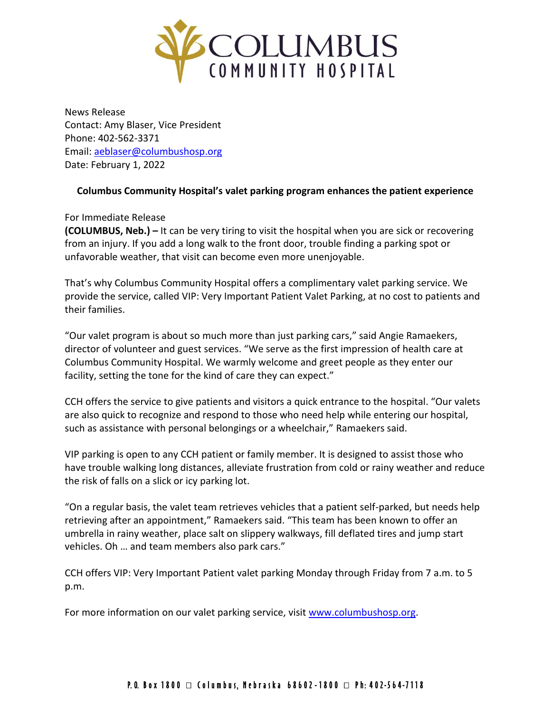

News Release Contact: Amy Blaser, Vice President Phone: 402-562-3371 Email: [aeblaser@columbushosp.org](mailto:aeblaser@columbushosp.org) Date: February 1, 2022

## **Columbus Community Hospital's valet parking program enhances the patient experience**

## For Immediate Release

**(COLUMBUS, Neb.) –** It can be very tiring to visit the hospital when you are sick or recovering from an injury. If you add a long walk to the front door, trouble finding a parking spot or unfavorable weather, that visit can become even more unenjoyable.

That's why Columbus Community Hospital offers a complimentary valet parking service. We provide the service, called VIP: Very Important Patient Valet Parking, at no cost to patients and their families.

"Our valet program is about so much more than just parking cars," said Angie Ramaekers, director of volunteer and guest services. "We serve as the first impression of health care at Columbus Community Hospital. We warmly welcome and greet people as they enter our facility, setting the tone for the kind of care they can expect."

CCH offers the service to give patients and visitors a quick entrance to the hospital. "Our valets are also quick to recognize and respond to those who need help while entering our hospital, such as assistance with personal belongings or a wheelchair," Ramaekers said.

VIP parking is open to any CCH patient or family member. It is designed to assist those who have trouble walking long distances, alleviate frustration from cold or rainy weather and reduce the risk of falls on a slick or icy parking lot.

"On a regular basis, the valet team retrieves vehicles that a patient self-parked, but needs help retrieving after an appointment," Ramaekers said. "This team has been known to offer an umbrella in rainy weather, place salt on slippery walkways, fill deflated tires and jump start vehicles. Oh … and team members also park cars."

CCH offers VIP: Very Important Patient valet parking Monday through Friday from 7 a.m. to 5 p.m.

For more information on our valet parking service, visit [www.columbushosp.org.](http://www.columbushosp.org/)